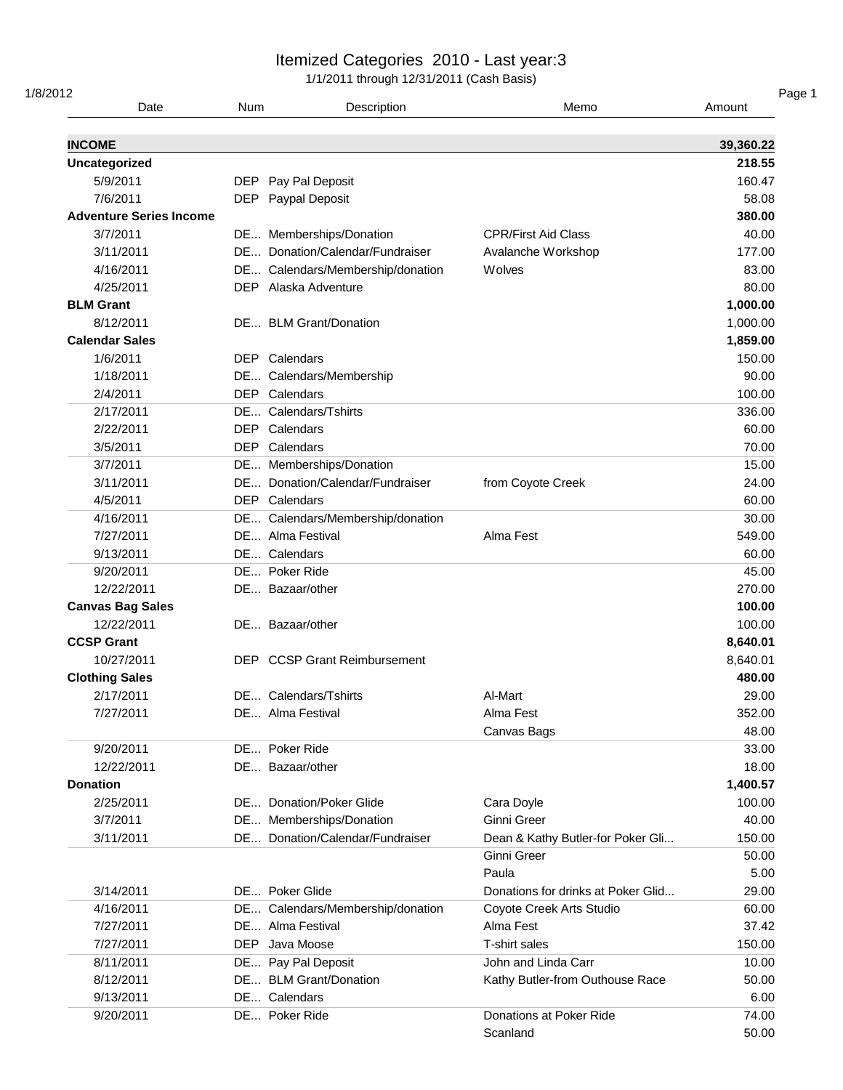| 1/8/2012         | Date                           | <b>Num</b> | Description                                          | Memo                                             | Amount             |
|------------------|--------------------------------|------------|------------------------------------------------------|--------------------------------------------------|--------------------|
| <b>INCOME</b>    |                                |            |                                                      |                                                  | 39,360.22          |
|                  | <b>Uncategorized</b>           |            |                                                      |                                                  | 218.55             |
|                  | 5/9/2011                       | DEP.       | Pay Pal Deposit                                      |                                                  | 160.47             |
|                  | 7/6/2011                       | <b>DEP</b> | Paypal Deposit                                       |                                                  | 58.08              |
|                  | <b>Adventure Series Income</b> |            |                                                      |                                                  | 380.00             |
|                  | 3/7/2011                       |            | DE Memberships/Donation                              | <b>CPR/First Aid Class</b>                       | 40.00              |
|                  | 3/11/2011                      |            | DE Donation/Calendar/Fundraiser                      | Avalanche Workshop                               | 177.00             |
|                  | 4/16/2011                      |            | DE Calendars/Membership/donation                     | Wolves                                           | 83.00              |
|                  | 4/25/2011                      |            | DEP Alaska Adventure                                 |                                                  | 80.00              |
| <b>BLM Grant</b> |                                |            |                                                      |                                                  | 1,000.00           |
|                  | 8/12/2011                      |            | DE BLM Grant/Donation                                |                                                  | 1,000.00           |
|                  | <b>Calendar Sales</b>          |            |                                                      |                                                  | 1,859.00           |
|                  | 1/6/2011                       |            | <b>DEP</b> Calendars                                 |                                                  | 150.00             |
|                  | 1/18/2011                      |            | DE Calendars/Membership                              |                                                  | 90.00              |
|                  | 2/4/2011                       |            | <b>DEP</b> Calendars                                 |                                                  | 100.00             |
|                  | 2/17/2011                      |            | DE Calendars/Tshirts                                 |                                                  | 336.00             |
|                  | 2/22/2011                      | <b>DEP</b> | Calendars                                            |                                                  | 60.00              |
|                  | 3/5/2011                       |            | <b>DEP</b> Calendars                                 |                                                  | 70.00              |
|                  | 3/7/2011                       |            | DE Memberships/Donation                              |                                                  | 15.00              |
|                  | 3/11/2011                      |            | DE Donation/Calendar/Fundraiser                      | from Coyote Creek                                | 24.00              |
|                  | 4/5/2011                       |            | DEP Calendars                                        |                                                  | 60.00              |
|                  | 4/16/2011                      |            | DE Calendars/Membership/donation                     |                                                  | 30.00              |
|                  | 7/27/2011                      |            | DE Alma Festival                                     | Alma Fest                                        | 549.00             |
|                  |                                |            | DE Calendars                                         |                                                  |                    |
|                  | 9/13/2011                      |            | DE Poker Ride                                        |                                                  | 60.00<br>45.00     |
|                  | 9/20/2011<br>12/22/2011        |            | DE Bazaar/other                                      |                                                  | 270.00             |
|                  | <b>Canvas Bag Sales</b>        |            |                                                      |                                                  | 100.00             |
|                  | 12/22/2011                     |            | DE Bazaar/other                                      |                                                  | 100.00             |
|                  | <b>CCSP Grant</b>              |            |                                                      |                                                  | 8,640.01           |
|                  | 10/27/2011                     |            | <b>DEP</b> CCSP Grant Reimbursement                  |                                                  |                    |
|                  |                                |            |                                                      |                                                  | 8,640.01<br>480.00 |
|                  | <b>Clothing Sales</b>          |            | DE Calendars/Tshirts                                 |                                                  |                    |
|                  | 2/17/2011<br>7/27/2011         |            | DE Alma Festival                                     | Al-Mart<br>Alma Fest                             | 29.00<br>352.00    |
|                  |                                |            |                                                      | Canvas Bags                                      | 48.00              |
|                  | 9/20/2011                      |            | DE Poker Ride                                        |                                                  | 33.00              |
|                  | 12/22/2011                     |            | DE Bazaar/other                                      |                                                  | 18.00              |
| <b>Donation</b>  |                                |            |                                                      |                                                  | 1,400.57           |
|                  | 2/25/2011                      |            | DE Donation/Poker Glide                              |                                                  | 100.00             |
|                  | 3/7/2011                       |            | DE Memberships/Donation                              | Cara Doyle<br>Ginni Greer                        | 40.00              |
|                  | 3/11/2011                      |            | DE Donation/Calendar/Fundraiser                      |                                                  | 150.00             |
|                  |                                |            |                                                      | Dean & Kathy Butler-for Poker Gli<br>Ginni Greer | 50.00              |
|                  |                                |            |                                                      | Paula                                            | 5.00               |
|                  |                                |            | DE Poker Glide                                       |                                                  |                    |
|                  | 3/14/2011<br>4/16/2011         |            |                                                      | Donations for drinks at Poker Glid               | 29.00<br>60.00     |
|                  | 7/27/2011                      |            | DE Calendars/Membership/donation<br>DE Alma Festival | Coyote Creek Arts Studio<br>Alma Fest            | 37.42              |
|                  | 7/27/2011                      | DEP.       | Java Moose                                           | T-shirt sales                                    | 150.00             |
|                  |                                |            |                                                      | John and Linda Carr                              |                    |
|                  | 8/11/2011                      |            | DE Pay Pal Deposit                                   |                                                  | 10.00              |
|                  | 8/12/2011                      |            | DE BLM Grant/Donation<br>DE Calendars                | Kathy Butler-from Outhouse Race                  | 50.00              |
|                  | 9/13/2011                      |            | DE Poker Ride                                        |                                                  | 6.00               |
|                  | 9/20/2011                      |            |                                                      | Donations at Poker Ride                          | 74.00              |
|                  |                                |            |                                                      | Scanland                                         | 50.00              |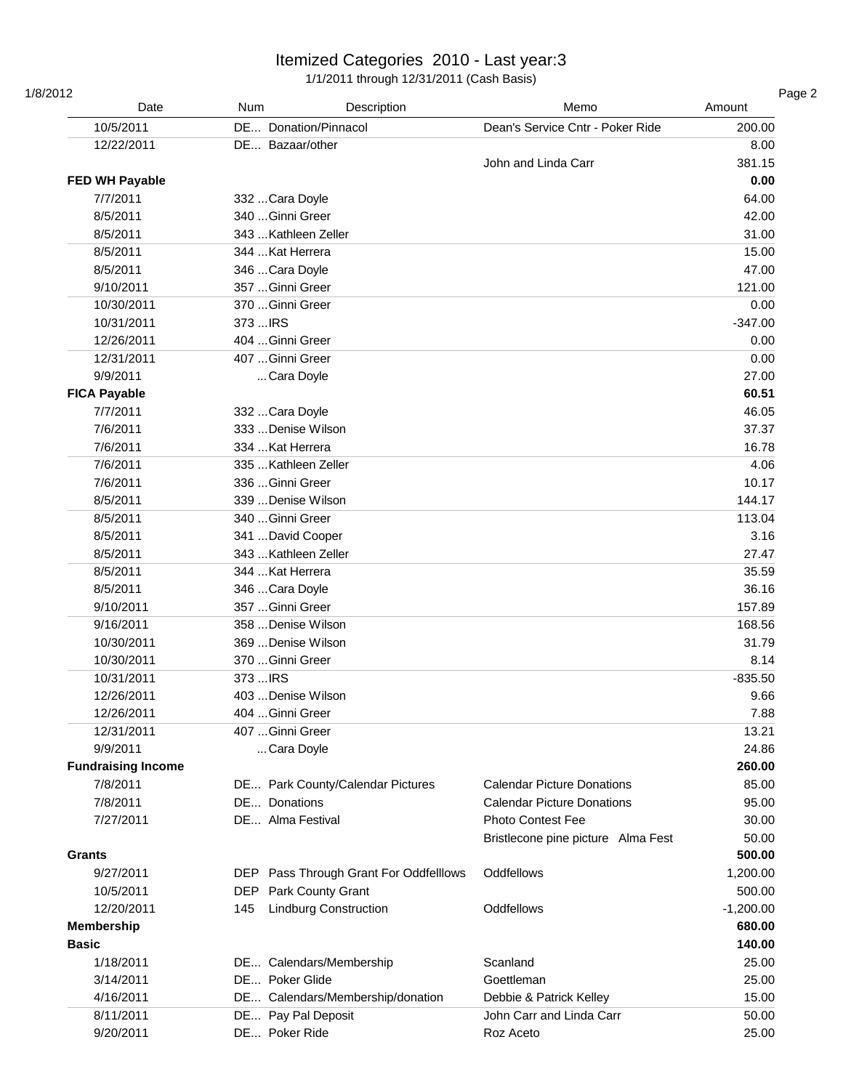| 1/8/2012<br>Date          | Num<br>Description                     | Memo                               | Amount      |
|---------------------------|----------------------------------------|------------------------------------|-------------|
| 10/5/2011                 | DE Donation/Pinnacol                   | Dean's Service Cntr - Poker Ride   | 200.00      |
| 12/22/2011                | DE Bazaar/other                        |                                    | 8.00        |
|                           |                                        | John and Linda Carr                | 381.15      |
| <b>FED WH Payable</b>     |                                        |                                    | 0.00        |
| 7/7/2011                  | 332 Cara Doyle                         |                                    | 64.00       |
| 8/5/2011                  | 340 Ginni Greer                        |                                    | 42.00       |
| 8/5/2011                  | 343  Kathleen Zeller                   |                                    | 31.00       |
| 8/5/2011                  | 344  Kat Herrera                       |                                    | 15.00       |
| 8/5/2011                  | 346  Cara Doyle                        |                                    | 47.00       |
| 9/10/2011                 | 357 Ginni Greer                        |                                    | 121.00      |
| 10/30/2011                | 370  Ginni Greer                       |                                    | 0.00        |
| 10/31/2011                | 373  IRS                               |                                    | $-347.00$   |
| 12/26/2011                | 404 Ginni Greer                        |                                    | 0.00        |
| 12/31/2011                | 407 Ginni Greer                        |                                    | 0.00        |
| 9/9/2011                  | Cara Doyle                             |                                    | 27.00       |
| <b>FICA Payable</b>       |                                        |                                    | 60.51       |
| 7/7/2011                  | 332 Cara Doyle                         |                                    | 46.05       |
| 7/6/2011                  | 333  Denise Wilson                     |                                    | 37.37       |
| 7/6/2011                  | 334  Kat Herrera                       |                                    | 16.78       |
| 7/6/2011                  | 335  Kathleen Zeller                   |                                    | 4.06        |
| 7/6/2011                  | 336 Ginni Greer                        |                                    | 10.17       |
| 8/5/2011                  | 339  Denise Wilson                     |                                    | 144.17      |
| 8/5/2011                  | 340 Ginni Greer                        |                                    | 113.04      |
| 8/5/2011                  | 341  David Cooper                      |                                    | 3.16        |
| 8/5/2011                  | 343  Kathleen Zeller                   |                                    | 27.47       |
| 8/5/2011                  | 344  Kat Herrera                       |                                    | 35.59       |
| 8/5/2011                  | 346 Cara Doyle                         |                                    | 36.16       |
| 9/10/2011                 | 357  Ginni Greer                       |                                    | 157.89      |
| 9/16/2011                 | 358 Denise Wilson                      |                                    | 168.56      |
| 10/30/2011                | 369 Denise Wilson                      |                                    | 31.79       |
| 10/30/2011                | 370 Ginni Greer                        |                                    | 8.14        |
| 10/31/2011                | 373  IRS                               |                                    | $-835.50$   |
| 12/26/2011                | 403 Denise Wilson                      |                                    | 9.66        |
| 12/26/2011                | 404 Ginni Greer                        |                                    | 7.88        |
| 12/31/2011                | 407 Ginni Greer                        |                                    | 13.21       |
| 9/9/2011                  | Cara Doyle                             |                                    | 24.86       |
| <b>Fundraising Income</b> |                                        |                                    | 260.00      |
| 7/8/2011                  | DE Park County/Calendar Pictures       | <b>Calendar Picture Donations</b>  | 85.00       |
| 7/8/2011                  | DE Donations                           | <b>Calendar Picture Donations</b>  | 95.00       |
| 7/27/2011                 | DE Alma Festival                       | <b>Photo Contest Fee</b>           | 30.00       |
|                           |                                        | Bristlecone pine picture Alma Fest | 50.00       |
| <b>Grants</b>             |                                        |                                    | 500.00      |
| 9/27/2011                 | DEP Pass Through Grant For Oddfelllows | Oddfellows                         | 1,200.00    |
| 10/5/2011                 | Park County Grant<br>DEP.              |                                    | 500.00      |
| 12/20/2011                | <b>Lindburg Construction</b><br>145    | Oddfellows                         | $-1,200.00$ |
| <b>Membership</b>         |                                        |                                    | 680.00      |
| <b>Basic</b>              |                                        |                                    | 140.00      |
| 1/18/2011                 | DE Calendars/Membership                | Scanland                           | 25.00       |
| 3/14/2011                 | DE Poker Glide                         | Goettleman                         | 25.00       |
| 4/16/2011                 | DE Calendars/Membership/donation       | Debbie & Patrick Kelley            | 15.00       |
| 8/11/2011                 | DE Pay Pal Deposit                     | John Carr and Linda Carr           | 50.00       |
| 9/20/2011                 | DE Poker Ride                          | Roz Aceto                          | 25.00       |
|                           |                                        |                                    |             |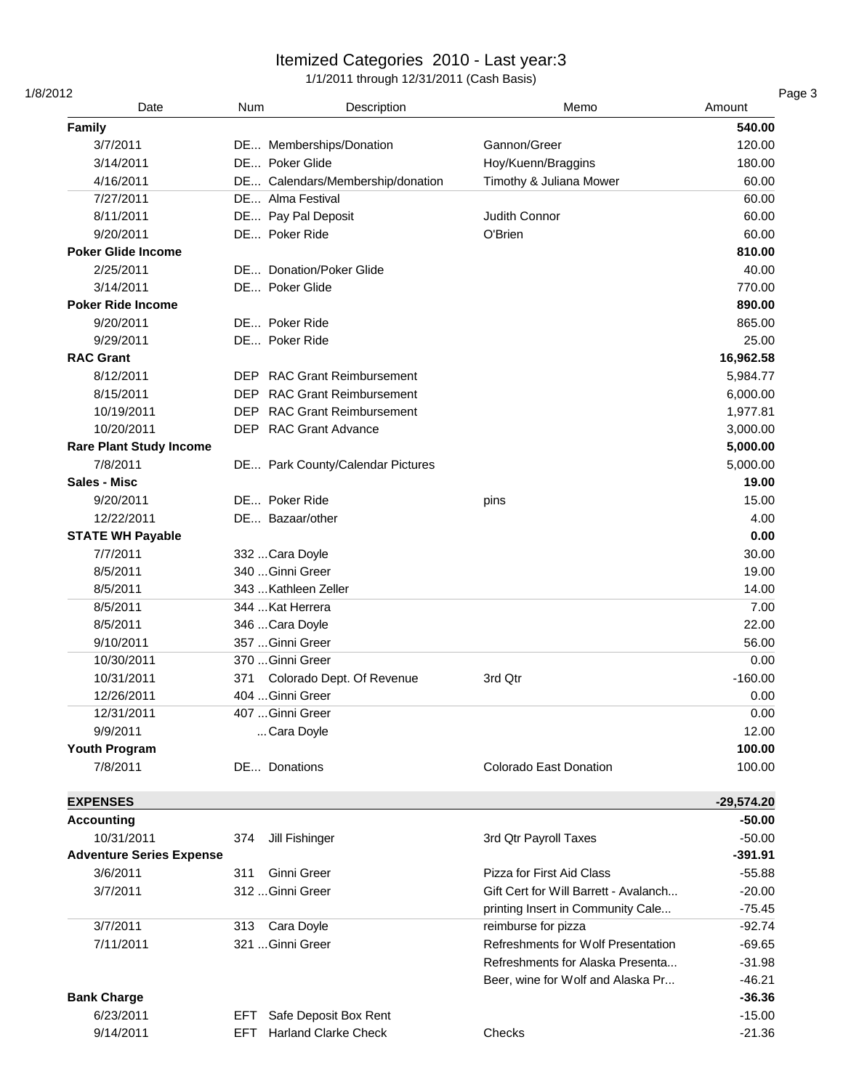| 1/8/2012                 | Date                            | <b>Num</b>            | Description                      | Memo                                  | Amount       |
|--------------------------|---------------------------------|-----------------------|----------------------------------|---------------------------------------|--------------|
| Family                   |                                 |                       |                                  |                                       | 540.00       |
| 3/7/2011                 |                                 |                       | DE Memberships/Donation          | Gannon/Greer                          | 120.00       |
| 3/14/2011                |                                 | DE Poker Glide        |                                  | Hoy/Kuenn/Braggins                    | 180.00       |
| 4/16/2011                |                                 |                       | DE Calendars/Membership/donation | Timothy & Juliana Mower               | 60.00        |
| 7/27/2011                |                                 | DE Alma Festival      |                                  |                                       | 60.00        |
| 8/11/2011                |                                 | DE Pay Pal Deposit    |                                  | Judith Connor                         | 60.00        |
| 9/20/2011                |                                 | DE Poker Ride         |                                  | O'Brien                               | 60.00        |
|                          | <b>Poker Glide Income</b>       |                       |                                  |                                       | 810.00       |
| 2/25/2011                |                                 |                       | DE Donation/Poker Glide          |                                       | 40.00        |
| 3/14/2011                |                                 | DE Poker Glide        |                                  |                                       | 770.00       |
| <b>Poker Ride Income</b> |                                 |                       |                                  |                                       | 890.00       |
| 9/20/2011                |                                 | DE Poker Ride         |                                  |                                       | 865.00       |
| 9/29/2011                |                                 | DE Poker Ride         |                                  |                                       | 25.00        |
| <b>RAC Grant</b>         |                                 |                       |                                  |                                       | 16,962.58    |
| 8/12/2011                |                                 | DEP.                  | <b>RAC Grant Reimbursement</b>   |                                       | 5,984.77     |
| 8/15/2011                |                                 | <b>DEP</b>            | <b>RAC Grant Reimbursement</b>   |                                       | 6,000.00     |
|                          | 10/19/2011                      | DEP.                  | <b>RAC Grant Reimbursement</b>   |                                       | 1,977.81     |
|                          | 10/20/2011                      |                       | DEP RAC Grant Advance            |                                       | 3,000.00     |
|                          | <b>Rare Plant Study Income</b>  |                       |                                  |                                       | 5,000.00     |
| 7/8/2011                 |                                 |                       |                                  |                                       | 5,000.00     |
| Sales - Misc             |                                 |                       | DE Park County/Calendar Pictures |                                       | 19.00        |
|                          |                                 | DE Poker Ride         |                                  |                                       |              |
| 9/20/2011                |                                 |                       |                                  | pins                                  | 15.00        |
|                          | 12/22/2011                      | DE Bazaar/other       |                                  |                                       | 4.00         |
|                          | <b>STATE WH Payable</b>         |                       |                                  |                                       | 0.00         |
| 7/7/2011                 |                                 | 332 Cara Doyle        |                                  |                                       | 30.00        |
| 8/5/2011                 |                                 | 340 Ginni Greer       |                                  |                                       | 19.00        |
| 8/5/2011                 |                                 | 343  Kathleen Zeller  |                                  |                                       | 14.00        |
| 8/5/2011                 |                                 | 344  Kat Herrera      |                                  |                                       | 7.00         |
| 8/5/2011                 |                                 | 346  Cara Doyle       |                                  |                                       | 22.00        |
| 9/10/2011                |                                 | 357  Ginni Greer      |                                  |                                       | 56.00        |
|                          | 10/30/2011                      | 370 Ginni Greer       |                                  |                                       | 0.00         |
|                          | 10/31/2011                      | 371                   | Colorado Dept. Of Revenue        | 3rd Qtr                               | $-160.00$    |
|                          | 12/26/2011                      | 404 Ginni Greer       |                                  |                                       | 0.00         |
|                          | 12/31/2011                      | 407 Ginni Greer       |                                  |                                       | 0.00         |
| 9/9/2011                 |                                 | Cara Doyle            |                                  |                                       | 12.00        |
| Youth Program            |                                 |                       |                                  |                                       | 100.00       |
| 7/8/2011                 |                                 | DE Donations          |                                  | Colorado East Donation                | 100.00       |
| <b>EXPENSES</b>          |                                 |                       |                                  |                                       | $-29,574.20$ |
| <b>Accounting</b>        |                                 |                       |                                  |                                       | $-50.00$     |
|                          | 10/31/2011                      | Jill Fishinger<br>374 |                                  | 3rd Qtr Payroll Taxes                 | $-50.00$     |
|                          | <b>Adventure Series Expense</b> |                       |                                  |                                       | $-391.91$    |
| 3/6/2011                 |                                 | Ginni Greer<br>311    |                                  | Pizza for First Aid Class             | $-55.88$     |
| 3/7/2011                 |                                 | 312  Ginni Greer      |                                  | Gift Cert for Will Barrett - Avalanch | $-20.00$     |
|                          |                                 |                       |                                  | printing Insert in Community Cale     | $-75.45$     |
| 3/7/2011                 |                                 | Cara Doyle<br>313     |                                  | reimburse for pizza                   | $-92.74$     |
| 7/11/2011                |                                 | 321 Ginni Greer       |                                  | Refreshments for Wolf Presentation    | $-69.65$     |
|                          |                                 |                       |                                  | Refreshments for Alaska Presenta      | $-31.98$     |
|                          |                                 |                       |                                  | Beer, wine for Wolf and Alaska Pr     | $-46.21$     |
| <b>Bank Charge</b>       |                                 |                       |                                  |                                       | $-36.36$     |
| 6/23/2011                |                                 | EFT.                  | Safe Deposit Box Rent            |                                       | $-15.00$     |
|                          | 9/14/2011                       |                       |                                  |                                       |              |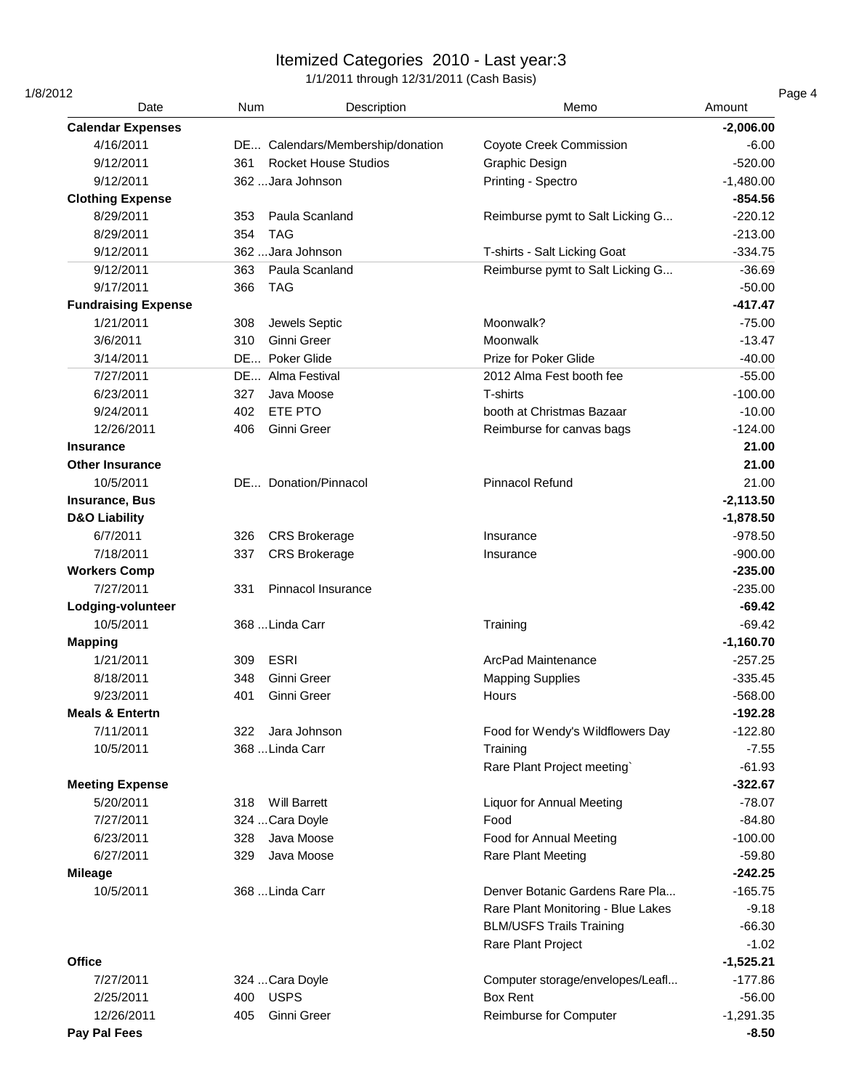| 1/8/2012<br>Date           | <b>Num</b>                  | Description                      | Memo                               | Amount      |
|----------------------------|-----------------------------|----------------------------------|------------------------------------|-------------|
| <b>Calendar Expenses</b>   |                             |                                  |                                    | $-2,006.00$ |
| 4/16/2011                  |                             | DE Calendars/Membership/donation | <b>Coyote Creek Commission</b>     | $-6.00$     |
| 9/12/2011                  | 361                         | <b>Rocket House Studios</b>      | Graphic Design                     | $-520.00$   |
| 9/12/2011                  | 362 Jara Johnson            |                                  | Printing - Spectro                 | $-1,480.00$ |
| <b>Clothing Expense</b>    |                             |                                  |                                    | $-854.56$   |
| 8/29/2011                  | Paula Scanland<br>353       |                                  | Reimburse pymt to Salt Licking G   | $-220.12$   |
| 8/29/2011                  | 354<br><b>TAG</b>           |                                  |                                    | $-213.00$   |
| 9/12/2011                  | 362  Jara Johnson           |                                  | T-shirts - Salt Licking Goat       | $-334.75$   |
| 9/12/2011                  | Paula Scanland<br>363       |                                  | Reimburse pymt to Salt Licking G   | $-36.69$    |
| 9/17/2011                  | <b>TAG</b><br>366           |                                  |                                    | $-50.00$    |
| <b>Fundraising Expense</b> |                             |                                  |                                    | $-417.47$   |
| 1/21/2011                  | 308<br>Jewels Septic        |                                  | Moonwalk?                          | $-75.00$    |
| 3/6/2011                   | Ginni Greer<br>310          |                                  | Moonwalk                           | $-13.47$    |
| 3/14/2011                  | Poker Glide<br><b>DE</b>    |                                  | Prize for Poker Glide              | $-40.00$    |
| 7/27/2011                  | DE Alma Festival            |                                  | 2012 Alma Fest booth fee           | $-55.00$    |
| 6/23/2011                  | 327<br>Java Moose           |                                  | T-shirts                           | $-100.00$   |
| 9/24/2011                  | ETE PTO<br>402              |                                  | booth at Christmas Bazaar          | $-10.00$    |
| 12/26/2011                 | 406<br>Ginni Greer          |                                  | Reimburse for canvas bags          | $-124.00$   |
| <b>Insurance</b>           |                             |                                  |                                    | 21.00       |
| <b>Other Insurance</b>     |                             |                                  |                                    | 21.00       |
| 10/5/2011                  | DE Donation/Pinnacol        |                                  | <b>Pinnacol Refund</b>             | 21.00       |
| <b>Insurance, Bus</b>      |                             |                                  |                                    | $-2,113.50$ |
| <b>D&amp;O Liability</b>   |                             |                                  |                                    | $-1,878.50$ |
| 6/7/2011                   | <b>CRS Brokerage</b><br>326 |                                  | Insurance                          | $-978.50$   |
| 7/18/2011                  | 337<br><b>CRS Brokerage</b> |                                  | Insurance                          | $-900.00$   |
| <b>Workers Comp</b>        |                             |                                  |                                    | $-235.00$   |
| 7/27/2011                  | 331                         | Pinnacol Insurance               |                                    | $-235.00$   |
| Lodging-volunteer          |                             |                                  |                                    | $-69.42$    |
| 10/5/2011                  | 368 Linda Carr              |                                  | Training                           | $-69.42$    |
| <b>Mapping</b>             |                             |                                  |                                    | $-1,160.70$ |
| 1/21/2011                  | <b>ESRI</b><br>309          |                                  | ArcPad Maintenance                 | $-257.25$   |
| 8/18/2011                  | 348<br>Ginni Greer          |                                  | <b>Mapping Supplies</b>            | $-335.45$   |
| 9/23/2011                  | Ginni Greer<br>401          |                                  | Hours                              | $-568.00$   |
| <b>Meals &amp; Entertn</b> |                             |                                  |                                    | $-192.28$   |
| 7/11/2011                  | Jara Johnson<br>322         |                                  | Food for Wendy's Wildflowers Day   | $-122.80$   |
| 10/5/2011                  | 368 Linda Carr              |                                  | Training                           | $-7.55$     |
|                            |                             |                                  | Rare Plant Project meeting`        | $-61.93$    |
| <b>Meeting Expense</b>     |                             |                                  |                                    | $-322.67$   |
| 5/20/2011                  | <b>Will Barrett</b><br>318  |                                  | <b>Liquor for Annual Meeting</b>   | $-78.07$    |
| 7/27/2011                  | 324 Cara Doyle              |                                  | Food                               | $-84.80$    |
| 6/23/2011                  | Java Moose<br>328           |                                  | Food for Annual Meeting            | $-100.00$   |
| 6/27/2011                  | Java Moose<br>329           |                                  | Rare Plant Meeting                 | $-59.80$    |
| <b>Mileage</b>             |                             |                                  |                                    | $-242.25$   |
| 10/5/2011                  | 368  Linda Carr             |                                  | Denver Botanic Gardens Rare Pla    | $-165.75$   |
|                            |                             |                                  | Rare Plant Monitoring - Blue Lakes | $-9.18$     |
|                            |                             |                                  | <b>BLM/USFS Trails Training</b>    | $-66.30$    |
|                            |                             |                                  | Rare Plant Project                 | $-1.02$     |
| <b>Office</b>              |                             |                                  |                                    | $-1,525.21$ |
| 7/27/2011                  | 324 Cara Doyle              |                                  | Computer storage/envelopes/Leafl   | $-177.86$   |
| 2/25/2011                  | <b>USPS</b><br>400          |                                  | <b>Box Rent</b>                    | $-56.00$    |
| 12/26/2011                 | Ginni Greer<br>405          |                                  | Reimburse for Computer             | $-1,291.35$ |
| Pay Pal Fees               |                             |                                  |                                    | $-8.50$     |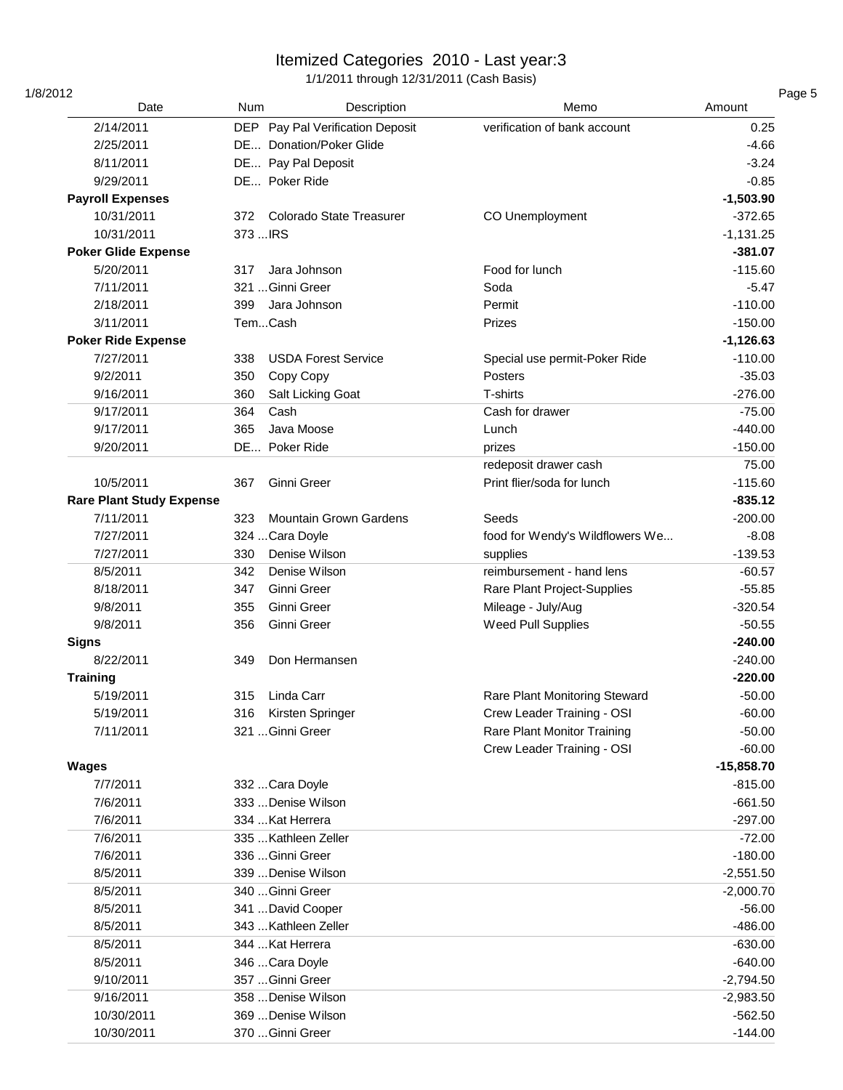| 1/8/2012<br>Date                | <b>Num</b>                             | Description | Memo                            | Amount                   |
|---------------------------------|----------------------------------------|-------------|---------------------------------|--------------------------|
| 2/14/2011                       | DEP Pay Pal Verification Deposit       |             | verification of bank account    | 0.25                     |
| 2/25/2011                       | DE Donation/Poker Glide                |             |                                 | $-4.66$                  |
| 8/11/2011                       | DE Pay Pal Deposit                     |             |                                 | $-3.24$                  |
|                                 | DE Poker Ride                          |             |                                 | $-0.85$                  |
| 9/29/2011                       |                                        |             |                                 | $-1,503.90$              |
| <b>Payroll Expenses</b>         |                                        |             |                                 |                          |
| 10/31/2011                      | 372<br><b>Colorado State Treasurer</b> |             | CO Unemployment                 | $-372.65$                |
| 10/31/2011                      | 373  IRS                               |             |                                 | $-1,131.25$<br>$-381.07$ |
| <b>Poker Glide Expense</b>      |                                        |             |                                 |                          |
| 5/20/2011                       | Jara Johnson<br>317                    |             | Food for lunch                  | $-115.60$                |
| 7/11/2011                       | 321 Ginni Greer                        |             | Soda                            | $-5.47$                  |
| 2/18/2011                       | 399<br>Jara Johnson                    |             | Permit                          | $-110.00$                |
| 3/11/2011                       | TemCash                                |             | Prizes                          | $-150.00$                |
| <b>Poker Ride Expense</b>       |                                        |             |                                 | $-1,126.63$              |
| 7/27/2011                       | 338<br><b>USDA Forest Service</b>      |             | Special use permit-Poker Ride   | $-110.00$                |
| 9/2/2011                        | 350<br>Copy Copy                       |             | <b>Posters</b>                  | $-35.03$                 |
| 9/16/2011                       | 360<br>Salt Licking Goat               |             | T-shirts                        | $-276.00$                |
| 9/17/2011                       | 364<br>Cash                            |             | Cash for drawer                 | $-75.00$                 |
| 9/17/2011                       | 365<br>Java Moose                      |             | Lunch                           | $-440.00$                |
| 9/20/2011                       | DE Poker Ride                          |             | prizes                          | $-150.00$                |
|                                 |                                        |             | redeposit drawer cash           | 75.00                    |
| 10/5/2011                       | Ginni Greer<br>367                     |             | Print flier/soda for lunch      | $-115.60$                |
| <b>Rare Plant Study Expense</b> |                                        |             |                                 | $-835.12$                |
| 7/11/2011                       | <b>Mountain Grown Gardens</b><br>323   |             | Seeds                           | $-200.00$                |
| 7/27/2011                       | 324 Cara Doyle                         |             | food for Wendy's Wildflowers We | $-8.08$                  |
| 7/27/2011                       | Denise Wilson<br>330                   |             | supplies                        | $-139.53$                |
| 8/5/2011                        | 342<br>Denise Wilson                   |             | reimbursement - hand lens       | $-60.57$                 |
| 8/18/2011                       | Ginni Greer<br>347                     |             | Rare Plant Project-Supplies     | $-55.85$                 |
| 9/8/2011                        | Ginni Greer<br>355                     |             | Mileage - July/Aug              | $-320.54$                |
| 9/8/2011                        | 356<br>Ginni Greer                     |             | Weed Pull Supplies              | $-50.55$                 |
| <b>Signs</b>                    |                                        |             |                                 | $-240.00$                |
| 8/22/2011                       | Don Hermansen<br>349                   |             |                                 | $-240.00$                |
| <b>Training</b>                 |                                        |             |                                 | $-220.00$                |
| 5/19/2011                       | Linda Carr<br>315                      |             | Rare Plant Monitoring Steward   | $-50.00$                 |
| 5/19/2011                       | Kirsten Springer<br>316                |             | Crew Leader Training - OSI      | $-60.00$                 |
| 7/11/2011                       | 321  Ginni Greer                       |             | Rare Plant Monitor Training     | $-50.00$                 |
|                                 |                                        |             | Crew Leader Training - OSI      | $-60.00$                 |
| <b>Wages</b>                    |                                        |             |                                 | $-15,858.70$             |
| 7/7/2011                        | 332 Cara Doyle                         |             |                                 | $-815.00$                |
| 7/6/2011                        | 333  Denise Wilson                     |             |                                 | $-661.50$                |
| 7/6/2011                        | 334  Kat Herrera                       |             |                                 | $-297.00$                |
| 7/6/2011                        | 335  Kathleen Zeller                   |             |                                 | $-72.00$                 |
| 7/6/2011                        | 336 Ginni Greer                        |             |                                 | $-180.00$                |
| 8/5/2011                        | 339  Denise Wilson                     |             |                                 | $-2,551.50$              |
| 8/5/2011                        | 340 Ginni Greer                        |             |                                 | $-2,000.70$              |
| 8/5/2011                        | 341  David Cooper                      |             |                                 | $-56.00$                 |
| 8/5/2011                        | 343  Kathleen Zeller                   |             |                                 | $-486.00$                |
| 8/5/2011                        | 344  Kat Herrera                       |             |                                 | $-630.00$                |
| 8/5/2011                        | 346 Cara Doyle                         |             |                                 | $-640.00$                |
| 9/10/2011                       | 357  Ginni Greer                       |             |                                 | $-2,794.50$              |
| 9/16/2011                       | 358  Denise Wilson                     |             |                                 | $-2,983.50$              |
| 10/30/2011                      | 369  Denise Wilson                     |             |                                 | $-562.50$                |
| 10/30/2011                      | 370  Ginni Greer                       |             |                                 | $-144.00$                |